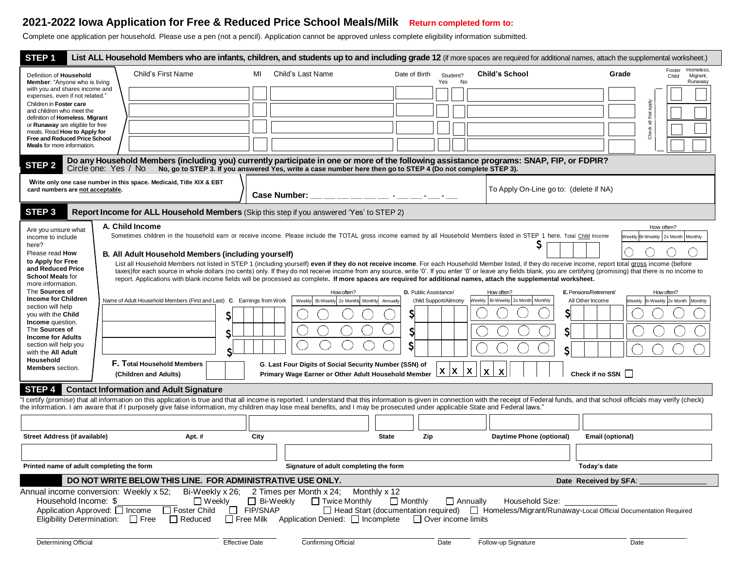# **2021-2022 Iowa Application for Free & Reduced Price School Meals/Milk Return completed form to:**

Complete one application per household. Please use a pen (not a pencil). Application cannot be approved unless complete eligibility information submitted.

| STEP <sub>1</sub>                                                                                                                                                                                                                                                                                                                                                                                                                                                                                                                                           | List ALL Household Members who are infants, children, and students up to and including grade 12 (if more spaces are required for additional names, attach the supplemental worksheet.)                                                                                                                                                                                                                         |                                                                                                                                                                                                                                                                                                                                                                                               |                                                |                                                 |                                                                                                |  |  |  |  |  |
|-------------------------------------------------------------------------------------------------------------------------------------------------------------------------------------------------------------------------------------------------------------------------------------------------------------------------------------------------------------------------------------------------------------------------------------------------------------------------------------------------------------------------------------------------------------|----------------------------------------------------------------------------------------------------------------------------------------------------------------------------------------------------------------------------------------------------------------------------------------------------------------------------------------------------------------------------------------------------------------|-----------------------------------------------------------------------------------------------------------------------------------------------------------------------------------------------------------------------------------------------------------------------------------------------------------------------------------------------------------------------------------------------|------------------------------------------------|-------------------------------------------------|------------------------------------------------------------------------------------------------|--|--|--|--|--|
| Definition of Household<br><b>Member:</b> "Anyone who is living                                                                                                                                                                                                                                                                                                                                                                                                                                                                                             | Child's First Name                                                                                                                                                                                                                                                                                                                                                                                             | Child's Last Name<br>MI                                                                                                                                                                                                                                                                                                                                                                       | Date of Birth<br>Student?<br>Yes<br>No         | <b>Child's School</b>                           | Homeless,<br>Foster<br>Grade<br>Migrant,<br>Child<br>Runaway                                   |  |  |  |  |  |
| with you and shares income and<br>expenses, even if not related."                                                                                                                                                                                                                                                                                                                                                                                                                                                                                           |                                                                                                                                                                                                                                                                                                                                                                                                                |                                                                                                                                                                                                                                                                                                                                                                                               |                                                |                                                 |                                                                                                |  |  |  |  |  |
| Children in Foster care<br>and children who meet the                                                                                                                                                                                                                                                                                                                                                                                                                                                                                                        |                                                                                                                                                                                                                                                                                                                                                                                                                |                                                                                                                                                                                                                                                                                                                                                                                               |                                                |                                                 | that apply                                                                                     |  |  |  |  |  |
| definition of Homeless, Migrant<br>or <b>Runaway</b> are eligible for free                                                                                                                                                                                                                                                                                                                                                                                                                                                                                  |                                                                                                                                                                                                                                                                                                                                                                                                                |                                                                                                                                                                                                                                                                                                                                                                                               |                                                |                                                 | ᄛ                                                                                              |  |  |  |  |  |
| meals. Read How to Apply for<br>Free and Reduced Price School                                                                                                                                                                                                                                                                                                                                                                                                                                                                                               |                                                                                                                                                                                                                                                                                                                                                                                                                |                                                                                                                                                                                                                                                                                                                                                                                               |                                                |                                                 | Check                                                                                          |  |  |  |  |  |
| Meals for more information.<br>Do any Household Members (including you) currently participate in one or more of the following assistance programs: SNAP, FIP, or FDPIR?                                                                                                                                                                                                                                                                                                                                                                                     |                                                                                                                                                                                                                                                                                                                                                                                                                |                                                                                                                                                                                                                                                                                                                                                                                               |                                                |                                                 |                                                                                                |  |  |  |  |  |
| STEP <sub>2</sub>                                                                                                                                                                                                                                                                                                                                                                                                                                                                                                                                           | Circle one: Yes / No                                                                                                                                                                                                                                                                                                                                                                                           | No, go to STEP 3. If you answered Yes, write a case number here then go to STEP 4 (Do not complete STEP 3).                                                                                                                                                                                                                                                                                   |                                                |                                                 |                                                                                                |  |  |  |  |  |
| card numbers are not acceptable.                                                                                                                                                                                                                                                                                                                                                                                                                                                                                                                            | Write only one case number in this space. Medicaid, Title XIX & EBT                                                                                                                                                                                                                                                                                                                                            | Case Number: __ __ __ __ __ __ __ -_ __ __                                                                                                                                                                                                                                                                                                                                                    | To Apply On-Line go to: (delete if NA)         |                                                 |                                                                                                |  |  |  |  |  |
| STEP <sub>3</sub>                                                                                                                                                                                                                                                                                                                                                                                                                                                                                                                                           | Report Income for ALL Household Members (Skip this step if you answered 'Yes' to STEP 2)                                                                                                                                                                                                                                                                                                                       |                                                                                                                                                                                                                                                                                                                                                                                               |                                                |                                                 |                                                                                                |  |  |  |  |  |
| Are you unsure what<br>income to include<br>here?                                                                                                                                                                                                                                                                                                                                                                                                                                                                                                           | A. Child Income                                                                                                                                                                                                                                                                                                                                                                                                | Sometimes children in the household earn or receive income. Please include the TOTAL gross income earned by all Household Members listed in STEP 1 here. Total Child Income                                                                                                                                                                                                                   |                                                |                                                 | How often?<br>Weekly Bi-Weekly 2x Month Monthly                                                |  |  |  |  |  |
| Please read How<br>to Apply for Free                                                                                                                                                                                                                                                                                                                                                                                                                                                                                                                        | B. All Adult Household Members (including yourself)                                                                                                                                                                                                                                                                                                                                                            | List all Household Members not listed in STEP 1 (including yourself) even if they do not receive income. For each Household Member listed, if they do receive income, report total gross income (before                                                                                                                                                                                       |                                                |                                                 |                                                                                                |  |  |  |  |  |
| and Reduced Price<br><b>School Meals for</b><br>more information.                                                                                                                                                                                                                                                                                                                                                                                                                                                                                           |                                                                                                                                                                                                                                                                                                                                                                                                                | taxes) for each source in whole dollars (no cents) only. If they do not receive income from any source, write '0'. If you enter '0' or leave any fields blank, you are certifying (promising) that there is no income to<br>report. Applications with blank income fields will be processed as complete. If more spaces are required for additional names, attach the supplemental worksheet. |                                                |                                                 |                                                                                                |  |  |  |  |  |
| The Sources of<br><b>Income for Children</b>                                                                                                                                                                                                                                                                                                                                                                                                                                                                                                                | Name of Adult Household Members (First and Last) C. Earnings from Work                                                                                                                                                                                                                                                                                                                                         | How often?<br>Bi-Weekly 2x Monthly Monthly Annually<br>Weekly                                                                                                                                                                                                                                                                                                                                 | D. Public Assistance/<br>Child Support/Alimony | How often?<br>Weekly Bi-Weekly 2x Month Monthly | E. Pensions/Retirement/<br>How often?<br>All Other Income<br>Weekly Bi-Weekly 2x Month Monthly |  |  |  |  |  |
| section will help<br>you with the Child                                                                                                                                                                                                                                                                                                                                                                                                                                                                                                                     |                                                                                                                                                                                                                                                                                                                                                                                                                |                                                                                                                                                                                                                                                                                                                                                                                               | S                                              |                                                 |                                                                                                |  |  |  |  |  |
| Income question.<br>The Sources of                                                                                                                                                                                                                                                                                                                                                                                                                                                                                                                          | \$                                                                                                                                                                                                                                                                                                                                                                                                             |                                                                                                                                                                                                                                                                                                                                                                                               |                                                |                                                 |                                                                                                |  |  |  |  |  |
| <b>Income for Adults</b>                                                                                                                                                                                                                                                                                                                                                                                                                                                                                                                                    | S                                                                                                                                                                                                                                                                                                                                                                                                              |                                                                                                                                                                                                                                                                                                                                                                                               | \$                                             |                                                 |                                                                                                |  |  |  |  |  |
| section will help you<br>with the All Adult                                                                                                                                                                                                                                                                                                                                                                                                                                                                                                                 |                                                                                                                                                                                                                                                                                                                                                                                                                |                                                                                                                                                                                                                                                                                                                                                                                               | S                                              |                                                 |                                                                                                |  |  |  |  |  |
| Household<br><b>Members</b> section.                                                                                                                                                                                                                                                                                                                                                                                                                                                                                                                        | <b>F. Total Household Members</b><br>G. Last Four Digits of Social Security Number (SSN) of<br>$\mathbf x$<br>$X \mid X$<br>$\mathbf{x}$<br>X<br>Check if no SSN  <br>Primary Wage Earner or Other Adult Household Member<br>(Children and Adults)                                                                                                                                                             |                                                                                                                                                                                                                                                                                                                                                                                               |                                                |                                                 |                                                                                                |  |  |  |  |  |
| STEP <sub>4</sub>                                                                                                                                                                                                                                                                                                                                                                                                                                                                                                                                           | <b>Contact Information and Adult Signature</b>                                                                                                                                                                                                                                                                                                                                                                 |                                                                                                                                                                                                                                                                                                                                                                                               |                                                |                                                 |                                                                                                |  |  |  |  |  |
|                                                                                                                                                                                                                                                                                                                                                                                                                                                                                                                                                             | "I certify (promise) that all information on this application is true and that all income is reported. I understand that this information is given in connection with the receipt of Federal funds, and that school officials<br>the information. I am aware that if I purposely give false information, my children may lose meal benefits, and I may be prosecuted under applicable State and Federal laws." |                                                                                                                                                                                                                                                                                                                                                                                               |                                                |                                                 |                                                                                                |  |  |  |  |  |
|                                                                                                                                                                                                                                                                                                                                                                                                                                                                                                                                                             |                                                                                                                                                                                                                                                                                                                                                                                                                |                                                                                                                                                                                                                                                                                                                                                                                               |                                                |                                                 |                                                                                                |  |  |  |  |  |
| Street Address (if available)                                                                                                                                                                                                                                                                                                                                                                                                                                                                                                                               | Apt. #                                                                                                                                                                                                                                                                                                                                                                                                         | City<br><b>State</b>                                                                                                                                                                                                                                                                                                                                                                          | Zip                                            | Daytime Phone (optional)                        | Email (optional)                                                                               |  |  |  |  |  |
|                                                                                                                                                                                                                                                                                                                                                                                                                                                                                                                                                             |                                                                                                                                                                                                                                                                                                                                                                                                                |                                                                                                                                                                                                                                                                                                                                                                                               |                                                |                                                 |                                                                                                |  |  |  |  |  |
| Printed name of adult completing the form<br>Signature of adult completing the form<br>Today's date                                                                                                                                                                                                                                                                                                                                                                                                                                                         |                                                                                                                                                                                                                                                                                                                                                                                                                |                                                                                                                                                                                                                                                                                                                                                                                               |                                                |                                                 |                                                                                                |  |  |  |  |  |
| DO NOT WRITE BELOW THIS LINE. FOR ADMINISTRATIVE USE ONLY.<br>Date Received by SFA:                                                                                                                                                                                                                                                                                                                                                                                                                                                                         |                                                                                                                                                                                                                                                                                                                                                                                                                |                                                                                                                                                                                                                                                                                                                                                                                               |                                                |                                                 |                                                                                                |  |  |  |  |  |
| Bi-Weekly x 26; 2 Times per Month x 24;<br>Annual income conversion: Weekly x 52;<br>Monthly x 12<br>Household Income: \$<br>$\Box$ Bi-Weekly<br>□ Twice Monthly<br>$\Box$ Monthly<br>$\Box$ Weekly<br>$\Box$ Annually<br>Household Size:<br>Application Approved: □ Income<br>□ Foster Child<br>$\Box$ FIP/SNAP<br>□ Head Start (documentation required) □ Homeless/Migrant/Runaway-Local Official Documentation Required<br>□ Free Milk Application Denied: □ Incomplete □ Over income limits<br>Eligibility Determination: $\Box$ Free<br>$\Box$ Reduced |                                                                                                                                                                                                                                                                                                                                                                                                                |                                                                                                                                                                                                                                                                                                                                                                                               |                                                |                                                 |                                                                                                |  |  |  |  |  |
| Determining Official                                                                                                                                                                                                                                                                                                                                                                                                                                                                                                                                        | <b>Effective Date</b>                                                                                                                                                                                                                                                                                                                                                                                          | Confirming Official                                                                                                                                                                                                                                                                                                                                                                           | Date                                           | Follow-up Signature                             | Date                                                                                           |  |  |  |  |  |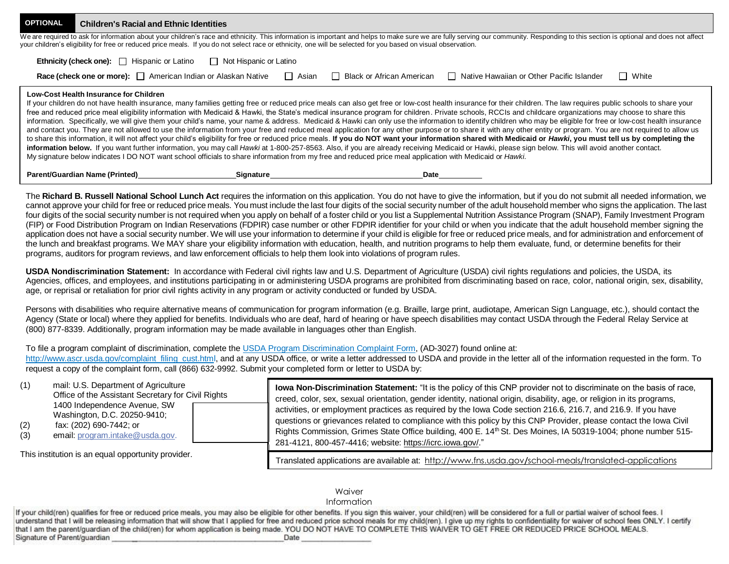| <b>OPTIONAL</b>                                                                                                                                                                                                                                                                                                                                                                                 | <b>Children's Racial and Ethnic Identities</b>                                                                                                                                                     |                          |  |                             |                                                                                                                                                                                                                                                                                                                                                                                                                                                                                                                                                                                                                                                                                                                                                                                                                                                                                                                                                                                                                                                                                                                                                                                                                                                                                                  |              |  |  |  |
|-------------------------------------------------------------------------------------------------------------------------------------------------------------------------------------------------------------------------------------------------------------------------------------------------------------------------------------------------------------------------------------------------|----------------------------------------------------------------------------------------------------------------------------------------------------------------------------------------------------|--------------------------|--|-----------------------------|--------------------------------------------------------------------------------------------------------------------------------------------------------------------------------------------------------------------------------------------------------------------------------------------------------------------------------------------------------------------------------------------------------------------------------------------------------------------------------------------------------------------------------------------------------------------------------------------------------------------------------------------------------------------------------------------------------------------------------------------------------------------------------------------------------------------------------------------------------------------------------------------------------------------------------------------------------------------------------------------------------------------------------------------------------------------------------------------------------------------------------------------------------------------------------------------------------------------------------------------------------------------------------------------------|--------------|--|--|--|
| We are required to ask for information about your children's race and ethnicity. This information is important and helps to make sure we are fully serving our community. Responding to this section is optional and does not<br>your children's eligibility for free or reduced price meals. If you do not select race or ethnicity, one will be selected for you based on visual observation. |                                                                                                                                                                                                    |                          |  |                             |                                                                                                                                                                                                                                                                                                                                                                                                                                                                                                                                                                                                                                                                                                                                                                                                                                                                                                                                                                                                                                                                                                                                                                                                                                                                                                  |              |  |  |  |
|                                                                                                                                                                                                                                                                                                                                                                                                 |                                                                                                                                                                                                    | □ Not Hispanic or Latino |  |                             |                                                                                                                                                                                                                                                                                                                                                                                                                                                                                                                                                                                                                                                                                                                                                                                                                                                                                                                                                                                                                                                                                                                                                                                                                                                                                                  |              |  |  |  |
|                                                                                                                                                                                                                                                                                                                                                                                                 | <b>Race (check one or more):</b> $\Box$ American Indian or Alaskan Native $\Box$ Asian                                                                                                             |                          |  | □ Black or African American | □ Native Hawaiian or Other Pacific Islander                                                                                                                                                                                                                                                                                                                                                                                                                                                                                                                                                                                                                                                                                                                                                                                                                                                                                                                                                                                                                                                                                                                                                                                                                                                      | $\Box$ White |  |  |  |
|                                                                                                                                                                                                                                                                                                                                                                                                 | Low-Cost Health Insurance for Children<br>My signature below indicates I DO NOT want school officials to share information from my free and reduced price meal application with Medicaid or Hawki. |                          |  |                             | If your children do not have health insurance, many families getting free or reduced price meals can also get free or low-cost health insurance for their children. The law requires public schools to share your<br>free and reduced price meal eligibility information with Medicaid & Hawki, the State's medical insurance program for children. Private schools, RCCIs and childcare organizations may choose to share this<br>information. Specifically, we will give them your child's name, your name & address. Medicaid & Hawki can only use the information to identify children who may be eligible for free or low-cost health insurance<br>and contact you. They are not allowed to use the information from your free and reduced meal application for any other purpose or to share it with any other entity or program. You are not required to allow us<br>to share this information, it will not affect your child's eligibility for free or reduced price meals. If you do NOT want your information shared with Medicaid or Hawki, you must tell us by completing the<br>information below. If you want further information, you may call Hawki at 1-800-257-8563. Also, if you are already receiving Medicaid or Hawki, please sign below. This will avoid another contact. |              |  |  |  |
|                                                                                                                                                                                                                                                                                                                                                                                                 | <b>Parent/Guardian Name (Printed)</b>                                                                                                                                                              | Signature                |  | Date                        |                                                                                                                                                                                                                                                                                                                                                                                                                                                                                                                                                                                                                                                                                                                                                                                                                                                                                                                                                                                                                                                                                                                                                                                                                                                                                                  |              |  |  |  |

The **Richard B. Russell National School Lunch Act** requires the information on this application. You do not have to give the information, but if you do not submit all needed information, we cannot approve your child for free or reduced price meals. You must include the last four digits of the social security number of the adult household member who signs the application. The last four digits of the social security number is not required when you apply on behalf of a foster child or you list a Supplemental Nutrition Assistance Program (SNAP), Family Investment Program (FIP) or Food Distribution Program on Indian Reservations (FDPIR) case number or other FDPIR identifier for your child or when you indicate that the adult household member signing the application does not have a social security number. We will use your information to determine if your child is eligible for free or reduced price meals, and for administration and enforcement of the lunch and breakfast programs. We MAY share your eligibility information with education, health, and nutrition programs to help them evaluate, fund, or determine benefits for their programs, auditors for program reviews, and law enforcement officials to help them look into violations of program rules.

**USDA Nondiscrimination Statement:** In accordance with Federal civil rights law and U.S. Department of Agriculture (USDA) civil rights regulations and policies, the USDA, its Agencies, offices, and employees, and institutions participating in or administering USDA programs are prohibited from discriminating based on race, color, national origin, sex, disability, age, or reprisal or retaliation for prior civil rights activity in any program or activity conducted or funded by USDA.

Persons with disabilities who require alternative means of communication for program information (e.g. Braille, large print, audiotape, American Sign Language, etc.), should contact the Agency (State or local) where they applied for benefits. Individuals who are deaf, hard of hearing or have speech disabilities may contact USDA through the Federal Relay Service at (800) 877-8339. Additionally, program information may be made available in languages other than English.

## To file a program complaint of discrimination, complete the USDA Program Discrimination Complaint Form, (AD-3027) found online at:

[http://www.ascr.usda.gov/complaint\\_filing\\_cust.html, a](http://www.ascr.usda.gov/complaint_filing_cust.html)nd at any USDA office, or write a letter addressed to USDA and provide in the letter all of the information requested in the form. To request a copy of the complaint form, call (866) 632-9992. Submit your completed form or letter to USDA by:

| (1)<br>mail: U.S. Department of Agriculture<br>Office of the Assistant Secretary for Civil Rights<br>1400 Independence Avenue, SW<br>Washington, D.C. 20250-9410;<br>(2)<br>fax: (202) 690-7442; or<br>email: program.intake@usda.gov.<br>(3) | lowa Non-Discrimination Statement: "It is the policy of this CNP provider not to discriminate on the basis of race,<br>creed, color, sex, sexual orientation, gender identity, national origin, disability, age, or religion in its programs,<br>activities, or employment practices as required by the Iowa Code section 216.6, 216.7, and 216.9. If you have<br>questions or grievances related to compliance with this policy by this CNP Provider, please contact the lowa Civil<br>Rights Commission, Grimes State Office building, 400 E. 14 <sup>th</sup> St. Des Moines, IA 50319-1004; phone number 515-<br>281-4121, 800-457-4416; website: https://icrc.iowa.gov/." |
|-----------------------------------------------------------------------------------------------------------------------------------------------------------------------------------------------------------------------------------------------|--------------------------------------------------------------------------------------------------------------------------------------------------------------------------------------------------------------------------------------------------------------------------------------------------------------------------------------------------------------------------------------------------------------------------------------------------------------------------------------------------------------------------------------------------------------------------------------------------------------------------------------------------------------------------------|
| This is stilled in a second consentration produced                                                                                                                                                                                            |                                                                                                                                                                                                                                                                                                                                                                                                                                                                                                                                                                                                                                                                                |

This institution is an equal opportunity provider.

Translated applications are available at: http://www.fns.usda.gov**/**[school-meals/translated-applications](http://www.fns.usda.gov/school-meals/translated-applications)

## **Waiver**

#### Information

If your child(ren) qualifies for free or reduced price meals, you may also be eligible for other benefits. If you sign this waiver, your child(ren) will be considered for a full or partial waiver of school fees. I understand that I will be releasing information that will show that I applied for free and reduced price school meals for my child(ren). I give up my rights to confidentiality for waiver of school fees ONLY. I certify that I am the parent/quardian of the child(ren) for whom application is being made. YOU DO NOT HAVE TO COMPLETE THIS WAIVER TO GET FREE OR REDUCED PRICE SCHOOL MEALS. Signature of Parent/guardian Date